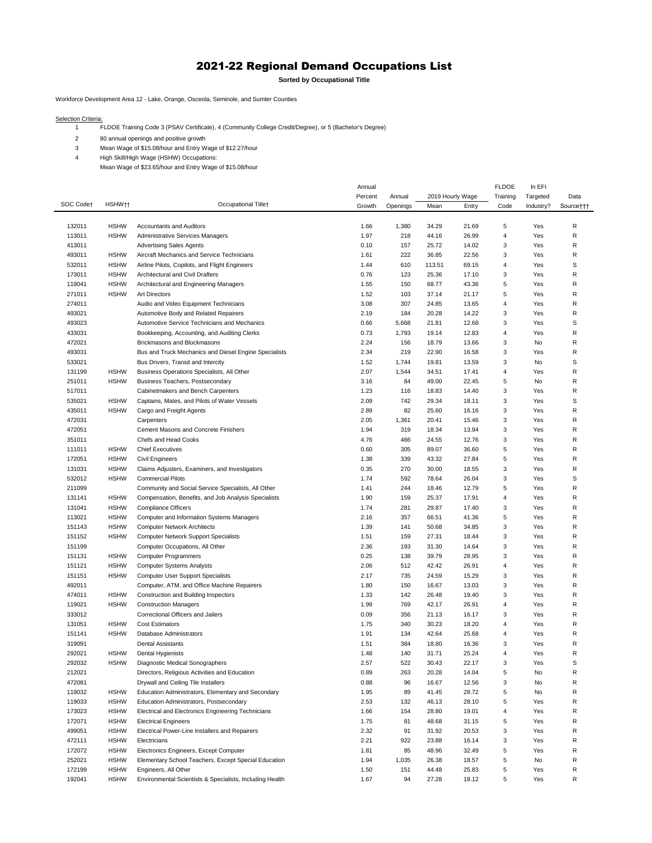## 2021-22 Regional Demand Occupations List

**Sorted by Occupational Title**

Workforce Development Area 12 - Lake, Orange, Osceola, Seminole, and Sumter Counties

Selection Criteria:

FLDOE Training Code 3 (PSAV Certificate), 4 (Community College Credit/Degree), or 5 (Bachelor's Degree)

80 annual openings and positive growth

Mean Wage of \$15.08/hour and Entry Wage of \$12.27/hour

High Skill/High Wage (HSHW) Occupations:

Mean Wage of \$23.65/hour and Entry Wage of \$15.08/hour

|                  |                            |                                                                            | Annual       | 2019 Hourly Wage |                |                | <b>FLDOE</b>   | In EFI     |           |
|------------------|----------------------------|----------------------------------------------------------------------------|--------------|------------------|----------------|----------------|----------------|------------|-----------|
| SOC Code†        | HSHW <sub>TT</sub>         | Occupational Title+                                                        | Percent      | Annual           |                |                | Training       | Targeted   | Data      |
|                  |                            |                                                                            | Growth       | Openings         | Mean           | Entry          | Code           | Industry?  | Source††† |
|                  |                            |                                                                            |              |                  | 34.29          |                | 5              |            | R         |
| 132011<br>113011 | <b>HSHW</b><br><b>HSHW</b> | <b>Accountants and Auditors</b><br><b>Administrative Services Managers</b> | 1.66<br>1.97 | 1,380<br>218     |                | 21.69<br>26.99 | 4              | Yes<br>Yes | R         |
| 413011           |                            |                                                                            | 0.10         |                  | 44.16<br>25.72 |                | 3              | Yes        | R         |
|                  |                            | <b>Advertising Sales Agents</b>                                            |              | 157              |                | 14.02          |                |            | R         |
| 493011           | <b>HSHW</b>                | Aircraft Mechanics and Service Technicians                                 | 1.61         | 222              | 36.85          | 22.56          | 3              | Yes        | S         |
| 532011           | <b>HSHW</b>                | Airline Pilots, Copilots, and Flight Engineers                             | 1.44         | 610              | 113.51         | 69.15          | 4              | Yes        | R         |
| 173011           | <b>HSHW</b>                | Architectural and Civil Drafters                                           | 0.76         | 123              | 25.36          | 17.10          | 3              | Yes        |           |
| 119041           | <b>HSHW</b>                | Architectural and Engineering Managers                                     | 1.55         | 150              | 68.77          | 43.36          | 5              | Yes        | R         |
| 271011           | <b>HSHW</b>                | <b>Art Directors</b>                                                       | 1.52         | 103              | 37.14          | 21.17          | 5              | Yes        | R         |
| 274011           |                            | Audio and Video Equipment Technicians                                      | 3.08         | 307              | 24.85          | 13.65          | 4              | Yes        | R         |
| 493021<br>493023 |                            | Automotive Body and Related Repairers                                      | 2.19         | 184              | 20.28<br>21.81 | 14.22          | 3<br>3         | Yes<br>Yes | R<br>S    |
|                  |                            | Automotive Service Technicians and Mechanics                               | 0.66         | 5,668            |                | 12.68          |                |            |           |
| 433031           |                            | Bookkeeping, Accounting, and Auditing Clerks                               | 0.73         | 1,793            | 19.14          | 12.83          | 4              | Yes        | R         |
| 472021           |                            | Brickmasons and Blockmasons                                                | 2.24         | 156              | 18.79          | 13.66          | 3              | No         | R         |
| 493031           |                            | Bus and Truck Mechanics and Diesel Engine Specialists                      | 2.34         | 219              | 22.90          | 16.58          | 3              | Yes        | R         |
| 533021           |                            | Bus Drivers, Transit and Intercity                                         | 1.52         | 1,744            | 19.81          | 13.59          | 3              | No         | S         |
| 131199           | <b>HSHW</b>                | Business Operations Specialists, All Other                                 | 2.07         | 1,544            | 34.51          | 17.41          | 4              | Yes        | R         |
| 251011           | <b>HSHW</b>                | Business Teachers, Postsecondary                                           | 3.16         | 84               | 49.00          | 22.45          | 5              | No         | R         |
| 517011           |                            | Cabinetmakers and Bench Carpenters                                         | 1.23         | 116              | 18.83          | 14.40          | 3              | Yes        | R         |
| 535021           | <b>HSHW</b>                | Captains, Mates, and Pilots of Water Vessels                               | 2.09         | 742              | 29.34          | 18.11          | 3              | Yes        | S         |
| 435011           | <b>HSHW</b>                | Cargo and Freight Agents                                                   | 2.89         | 82               | 25.60          | 16.16          | 3              | Yes        | R         |
| 472031           |                            | Carpenters                                                                 | 2.05         | 1,361            | 20.41          | 15.46          | 3              | Yes        | R         |
| 472051           |                            | Cement Masons and Concrete Finishers                                       | 1.94         | 319              | 18.34          | 13.94          | 3              | Yes        | R         |
| 351011           |                            | Chefs and Head Cooks                                                       | 4.76         | 466              | 24.55          | 12.76          | 3              | Yes        | R         |
| 111011           | <b>HSHW</b>                | <b>Chief Executives</b>                                                    | 0.60         | 305              | 89.07          | 36.60          | 5              | Yes        | R         |
| 172051           | <b>HSHW</b>                | <b>Civil Engineers</b>                                                     | 1.38         | 339              | 43.32          | 27.84          | 5              | Yes        | R         |
| 131031           | <b>HSHW</b>                | Claims Adjusters, Examiners, and Investigators                             | 0.35         | 270              | 30.00          | 18.55          | 3              | Yes        | R         |
| 532012           | <b>HSHW</b>                | <b>Commercial Pilots</b>                                                   | 1.74         | 592              | 78.64          | 26.04          | 3              | Yes        | S         |
| 211099           |                            | Community and Social Service Specialists, All Other                        | 1.41         | 244              | 18.46          | 12.79          | 5              | Yes        | R         |
| 131141           | <b>HSHW</b>                | Compensation, Benefits, and Job Analysis Specialists                       | 1.90         | 159              | 25.37          | 17.91          | 4              | Yes        | R         |
| 131041           | <b>HSHW</b>                | <b>Compliance Officers</b>                                                 | 1.74         | 281              | 29.87          | 17.40          | 3              | Yes        | R         |
| 113021           | <b>HSHW</b>                | Computer and Information Systems Managers                                  | 2.16         | 357              | 66.51          | 41.36          | 5              | Yes        | R         |
| 151143           | <b>HSHW</b>                | <b>Computer Network Architects</b>                                         | 1.39         | 141              | 50.68          | 34.85          | 3              | Yes        | R         |
| 151152           | <b>HSHW</b>                | <b>Computer Network Support Specialists</b>                                | 1.51         | 159              | 27.31          | 18.44          | 3              | Yes        | R         |
| 151199           |                            | Computer Occupations, All Other                                            | 2.36         | 193              | 31.30          | 14.64          | 3              | Yes        | R         |
| 151131           | <b>HSHW</b>                | Computer Programmers                                                       | 0.25         | 138              | 39.79          | 28.95          | 3              | Yes        | R         |
| 151121           | <b>HSHW</b>                | <b>Computer Systems Analysts</b>                                           | 2.06         | 512              | 42.42          | 26.91          | 4              | Yes        | R         |
| 151151           | <b>HSHW</b>                | <b>Computer User Support Specialists</b>                                   | 2.17         | 735              | 24.59          | 15.29          | 3              | Yes        | R         |
| 492011           |                            | Computer, ATM, and Office Machine Repairers                                | 1.80         | 150              | 16.67          | 13.03          | 3              | Yes        | R         |
| 474011           | <b>HSHW</b>                | Construction and Building Inspectors                                       | 1.33         | 142              | 26.48          | 19.40          | 3              | Yes        | R         |
| 119021           | <b>HSHW</b>                | <b>Construction Managers</b>                                               | 1.99         | 769              | 42.17          | 26.91          | 4              | Yes        | R         |
| 333012           |                            | Correctional Officers and Jailers                                          | 0.09         | 356              | 21.13          | 16.17          | 3              | Yes        | R         |
| 131051           | <b>HSHW</b>                | <b>Cost Estimators</b>                                                     | 1.75         | 340              | 30.23          | 18.20          | 4              | Yes        | R         |
| 151141           | <b>HSHW</b>                | Database Administrators                                                    | 1.91         | 134              | 42.64          | 25.68          | $\overline{4}$ | Yes        | R         |
| 319091           |                            | <b>Dental Assistants</b>                                                   | 1.51         | 384              | 18.80          | 16.36          | 3              | Yes        | R         |
| 292021           | <b>HSHW</b>                | Dental Hygienists                                                          | 1.48         | 140              | 31.71          | 25.24          | $\overline{4}$ | Yes        | R         |
| 292032           | <b>HSHW</b>                | Diagnostic Medical Sonographers                                            | 2.57         | 522              | 30.43          | 22.17          | 3              | Yes        | s         |
| 212021           |                            | Directors, Religious Activities and Education                              | 0.89         | 263              | 20.28          | 14.04          | 5              | No         | R         |
| 472081           |                            | Drywall and Ceiling Tile Installers                                        | 0.88         | 96               | 16.67          | 12.56          | 3              | No         | R         |
| 119032           | <b>HSHW</b>                | Education Administrators, Elementary and Secondary                         | 1.95         | 89               | 41.45          | 28.72          | 5              | No         | R         |
| 119033           | <b>HSHW</b>                | Education Administrators, Postsecondary                                    | 2.53         | 132              | 46.13          | 28.10          | 5              | Yes        | R         |
| 173023           | <b>HSHW</b>                | Electrical and Electronics Engineering Technicians                         | 1.66         | 154              | 28.80          | 19.01          | 4              | Yes        | R         |
| 172071           | <b>HSHW</b>                | <b>Electrical Engineers</b>                                                | 1.75         | 81               | 48.68          | 31.15          | 5              | Yes        | R         |
| 499051           | <b>HSHW</b>                | Electrical Power-Line Installers and Repairers                             | 2.32         | 91               | 31.92          | 20.53          | 3              | Yes        | R         |
| 472111           | <b>HSHW</b>                | Electricians                                                               | 2.21         | 922              | 23.88          | 16.14          | 3              | Yes        | R         |
| 172072           | <b>HSHW</b>                | Electronics Engineers, Except Computer                                     | 1.81         | 85               | 48.96          | 32.49          | 5              | Yes        | R         |
| 252021           | <b>HSHW</b>                | Elementary School Teachers, Except Special Education                       | 1.94         | 1,035            | 26.38          | 18.57          | 5              | No         | R         |
| 172199           | <b>HSHW</b>                | Engineers, All Other                                                       | 1.50         | 151              | 44.48          | 25.83          | 5              | Yes        | R         |
| 192041           | <b>HSHW</b>                | Environmental Scientists & Specialists, Including Health                   | 1.67         | 94               | 27.28          | 18.12          | 5              | Yes        | R         |
|                  |                            |                                                                            |              |                  |                |                |                |            |           |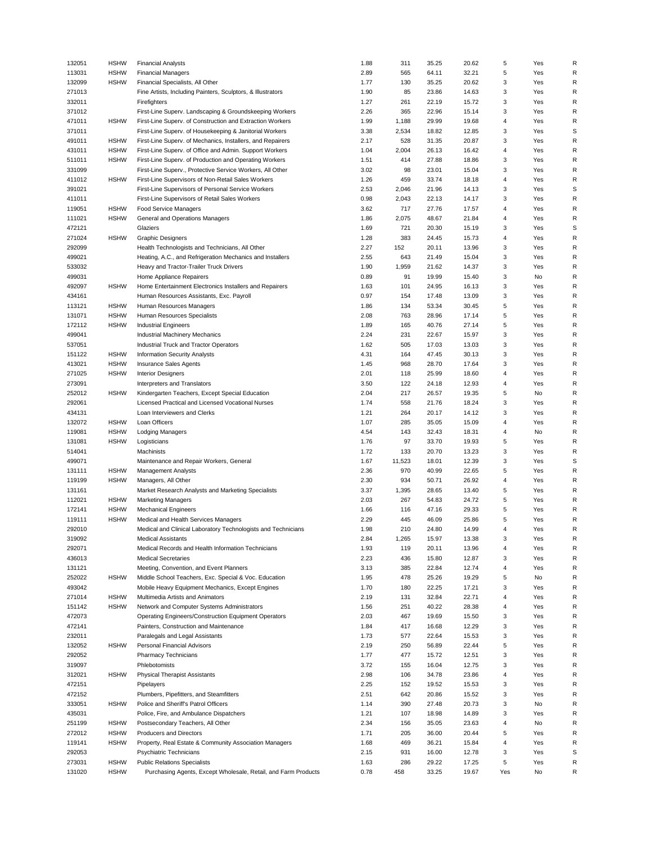| 132051 | <b>HSHW</b> | <b>Financial Analysts</b>                                      | 1.88 | 311    | 35.25 | 20.62 | 5                       | Yes | R            |
|--------|-------------|----------------------------------------------------------------|------|--------|-------|-------|-------------------------|-----|--------------|
| 113031 | <b>HSHW</b> | <b>Financial Managers</b>                                      | 2.89 | 565    | 64.11 | 32.21 | 5                       | Yes | R            |
| 132099 | <b>HSHW</b> | Financial Specialists, All Other                               | 1.77 | 130    | 35.25 | 20.62 | 3                       | Yes | R            |
| 271013 |             | Fine Artists, Including Painters, Sculptors, & Illustrators    | 1.90 | 85     | 23.86 | 14.63 | 3                       | Yes | R            |
| 332011 |             | Firefighters                                                   | 1.27 | 261    | 22.19 | 15.72 | 3                       | Yes | $\mathsf{R}$ |
| 371012 |             | First-Line Superv. Landscaping & Groundskeeping Workers        | 2.26 | 365    | 22.96 | 15.14 | 3                       | Yes | R            |
| 471011 | <b>HSHW</b> | First-Line Superv. of Construction and Extraction Workers      | 1.99 | 1,188  | 29.99 | 19.68 | $\overline{4}$          | Yes | R            |
| 371011 |             | First-Line Superv. of Housekeeping & Janitorial Workers        | 3.38 | 2,534  | 18.82 | 12.85 | 3                       | Yes | S            |
| 491011 | <b>HSHW</b> | First-Line Superv. of Mechanics, Installers, and Repairers     | 2.17 | 528    | 31.35 | 20.87 | 3                       | Yes | R            |
| 431011 | <b>HSHW</b> | First-Line Superv. of Office and Admin. Support Workers        | 1.04 | 2,004  | 26.13 | 16.42 | $\overline{4}$          | Yes | R            |
| 511011 | <b>HSHW</b> | First-Line Superv. of Production and Operating Workers         | 1.51 | 414    | 27.88 | 18.86 | 3                       | Yes | R            |
| 331099 |             | First-Line Superv., Protective Service Workers, All Other      | 3.02 | 98     | 23.01 | 15.04 | 3                       | Yes | R            |
| 411012 | <b>HSHW</b> | First-Line Supervisors of Non-Retail Sales Workers             | 1.26 | 459    | 33.74 | 18.18 | $\overline{4}$          | Yes | R            |
| 391021 |             | First-Line Supervisors of Personal Service Workers             | 2.53 | 2,046  | 21.96 | 14.13 | 3                       | Yes | S            |
| 411011 |             | First-Line Supervisors of Retail Sales Workers                 | 0.98 | 2,043  | 22.13 | 14.17 | 3                       | Yes | R            |
| 119051 | <b>HSHW</b> | Food Service Managers                                          | 3.62 | 717    | 27.76 | 17.57 | $\overline{4}$          | Yes | R            |
| 111021 | <b>HSHW</b> | General and Operations Managers                                | 1.86 | 2,075  | 48.67 | 21.84 | 4                       | Yes | R            |
| 472121 |             | Glaziers                                                       | 1.69 | 721    | 20.30 | 15.19 | 3                       | Yes | S            |
| 271024 | <b>HSHW</b> | <b>Graphic Designers</b>                                       | 1.28 | 383    | 24.45 | 15.73 | $\overline{4}$          | Yes | $\mathsf{R}$ |
| 292099 |             | Health Technologists and Technicians, All Other                | 2.27 | 152    | 20.11 | 13.96 | 3                       | Yes | R            |
| 499021 |             | Heating, A.C., and Refrigeration Mechanics and Installers      | 2.55 | 643    | 21.49 | 15.04 | 3                       | Yes | R            |
| 533032 |             | Heavy and Tractor-Trailer Truck Drivers                        | 1.90 | 1,959  | 21.62 | 14.37 | 3                       | Yes | R            |
| 499031 |             | Home Appliance Repairers                                       | 0.89 | 91     | 19.99 | 15.40 | 3                       | No  | R            |
| 492097 | <b>HSHW</b> | Home Entertainment Electronics Installers and Repairers        | 1.63 | 101    | 24.95 | 16.13 | 3                       | Yes | R            |
| 434161 |             | Human Resources Assistants, Exc. Payroll                       | 0.97 | 154    | 17.48 | 13.09 | 3                       | Yes | R            |
| 113121 | <b>HSHW</b> | Human Resources Managers                                       | 1.86 | 134    | 53.34 | 30.45 | 5                       | Yes | R            |
| 131071 | <b>HSHW</b> | Human Resources Specialists                                    | 2.08 | 763    | 28.96 | 17.14 | 5                       | Yes | $\mathsf R$  |
| 172112 | <b>HSHW</b> | <b>Industrial Engineers</b>                                    | 1.89 | 165    | 40.76 | 27.14 | 5                       | Yes | R            |
| 499041 |             | Industrial Machinery Mechanics                                 | 2.24 | 231    | 22.67 | 15.97 | 3                       | Yes | $\mathsf R$  |
| 537051 |             | Industrial Truck and Tractor Operators                         | 1.62 | 505    | 17.03 | 13.03 | 3                       | Yes | $\mathsf R$  |
| 151122 | <b>HSHW</b> | <b>Information Security Analysts</b>                           | 4.31 | 164    | 47.45 | 30.13 | 3                       | Yes | R            |
| 413021 | <b>HSHW</b> | Insurance Sales Agents                                         | 1.45 | 968    | 28.70 | 17.64 | 3                       | Yes | R            |
| 271025 | <b>HSHW</b> | <b>Interior Designers</b>                                      | 2.01 | 118    | 25.99 | 18.60 | $\overline{4}$          | Yes | R            |
| 273091 |             | Interpreters and Translators                                   | 3.50 | 122    | 24.18 | 12.93 | $\overline{4}$          | Yes | R            |
| 252012 | <b>HSHW</b> | Kindergarten Teachers, Except Special Education                | 2.04 | 217    | 26.57 | 19.35 | 5                       | No  | R            |
| 292061 |             | Licensed Practical and Licensed Vocational Nurses              | 1.74 | 558    | 21.76 | 18.24 | 3                       | Yes | R            |
| 434131 |             | Loan Interviewers and Clerks                                   | 1.21 | 264    | 20.17 | 14.12 | 3                       | Yes | R            |
| 132072 | <b>HSHW</b> | Loan Officers                                                  | 1.07 | 285    | 35.05 | 15.09 | $\overline{4}$          | Yes | R            |
| 119081 | <b>HSHW</b> | Lodging Managers                                               | 4.54 | 143    | 32.43 | 18.31 | 4                       | No  | R            |
| 131081 | <b>HSHW</b> | Logisticians                                                   | 1.76 | 97     | 33.70 | 19.93 | 5                       | Yes | $\mathsf R$  |
| 514041 |             | Machinists                                                     | 1.72 | 133    | 20.70 | 13.23 | 3                       | Yes | R            |
| 499071 |             | Maintenance and Repair Workers, General                        | 1.67 | 11,523 | 18.01 | 12.39 | 3                       | Yes | $\mathsf S$  |
| 131111 | <b>HSHW</b> | <b>Management Analysts</b>                                     | 2.36 | 970    | 40.99 | 22.65 | 5                       | Yes | R            |
| 119199 | <b>HSHW</b> | Managers, All Other                                            | 2.30 | 934    | 50.71 | 26.92 | $\overline{4}$          | Yes | $\mathsf{R}$ |
| 131161 |             | Market Research Analysts and Marketing Specialists             | 3.37 | 1,395  | 28.65 | 13.40 | 5                       | Yes | R            |
| 112021 | <b>HSHW</b> | <b>Marketing Managers</b>                                      | 2.03 | 267    | 54.83 | 24.72 | 5                       | Yes | R            |
| 172141 | <b>HSHW</b> | <b>Mechanical Engineers</b>                                    | 1.66 | 116    | 47.16 | 29.33 | 5                       | Yes | R            |
| 119111 | <b>HSHW</b> | Medical and Health Services Managers                           | 2.29 | 445    | 46.09 | 25.86 | 5                       | Yes | $\mathsf R$  |
| 292010 |             | Medical and Clinical Laboratory Technologists and Technicians  | 1.98 | 210    | 24.80 | 14.99 | $\overline{4}$          | Yes | R            |
| 319092 |             | Medical Assistants                                             | 2.84 | 1,265  | 15.97 | 13.38 | 3                       | Yes | R            |
| 292071 |             | Medical Records and Health Information Technicians             | 1.93 | 119    | 20.11 | 13.96 | $\overline{4}$          | Yes | R            |
| 436013 |             | <b>Medical Secretaries</b>                                     | 2.23 | 436    | 15.80 | 12.87 | 3                       | Yes | R            |
| 131121 |             | Meeting, Convention, and Event Planners                        | 3.13 | 385    | 22.84 | 12.74 | $\overline{4}$          | Yes | $\mathsf R$  |
| 252022 | <b>HSHW</b> | Middle School Teachers, Exc. Special & Voc. Education          | 1.95 | 478    | 25.26 | 19.29 | 5                       | No  | R            |
| 493042 |             | Mobile Heavy Equipment Mechanics, Except Engines               | 1.70 | 180    | 22.25 | 17.21 | 3                       | Yes | $\mathsf R$  |
| 271014 | <b>HSHW</b> | Multimedia Artists and Animators                               | 2.19 | 131    | 32.84 | 22.71 | 4                       | Yes | R            |
| 151142 | <b>HSHW</b> | Network and Computer Systems Administrators                    | 1.56 | 251    | 40.22 | 28.38 | $\overline{4}$          | Yes | $\mathsf R$  |
| 472073 |             | Operating Engineers/Construction Equipment Operators           | 2.03 | 467    | 19.69 | 15.50 | 3                       | Yes | R            |
| 472141 |             | Painters, Construction and Maintenance                         | 1.84 | 417    | 16.68 | 12.29 | 3                       | Yes | R            |
| 232011 |             | Paralegals and Legal Assistants                                | 1.73 | 577    | 22.64 | 15.53 | 3                       | Yes | R            |
| 132052 | <b>HSHW</b> | Personal Financial Advisors                                    | 2.19 | 250    | 56.89 | 22.44 | 5                       | Yes | R            |
| 292052 |             | Pharmacy Technicians                                           | 1.77 | 477    | 15.72 | 12.51 | 3                       | Yes | R            |
| 319097 |             | Phlebotomists                                                  | 3.72 | 155    | 16.04 | 12.75 | 3                       | Yes | $\mathsf R$  |
| 312021 | <b>HSHW</b> | <b>Physical Therapist Assistants</b>                           | 2.98 | 106    | 34.78 | 23.86 | $\overline{4}$          | Yes | R            |
| 472151 |             | Pipelayers                                                     | 2.25 | 152    | 19.52 | 15.53 | 3                       | Yes | R            |
| 472152 |             | Plumbers, Pipefitters, and Steamfitters                        | 2.51 | 642    | 20.86 | 15.52 | 3                       | Yes | R            |
| 333051 | <b>HSHW</b> | Police and Sheriff's Patrol Officers                           | 1.14 | 390    | 27.48 | 20.73 | 3                       | No  | $\mathsf R$  |
| 435031 |             | Police, Fire, and Ambulance Dispatchers                        | 1.21 | 107    | 18.98 | 14.89 | 3                       | Yes | $\mathsf R$  |
| 251199 | <b>HSHW</b> | Postsecondary Teachers, All Other                              | 2.34 | 156    | 35.05 | 23.63 | $\overline{4}$          | No  | R            |
| 272012 | <b>HSHW</b> | Producers and Directors                                        | 1.71 | 205    | 36.00 | 20.44 | 5                       | Yes | R            |
| 119141 | <b>HSHW</b> | Property, Real Estate & Community Association Managers         | 1.68 | 469    | 36.21 | 15.84 | $\overline{\mathbf{4}}$ | Yes | R            |
| 292053 |             | Psychiatric Technicians                                        | 2.15 | 931    | 16.00 | 12.78 | 3                       | Yes | S            |
| 273031 | <b>HSHW</b> | <b>Public Relations Specialists</b>                            | 1.63 | 286    | 29.22 | 17.25 | 5                       | Yes | R            |
| 131020 | <b>HSHW</b> | Purchasing Agents, Except Wholesale, Retail, and Farm Products | 0.78 | 458    | 33.25 | 19.67 | Yes                     | No  | R            |